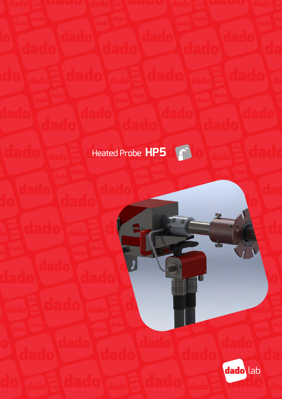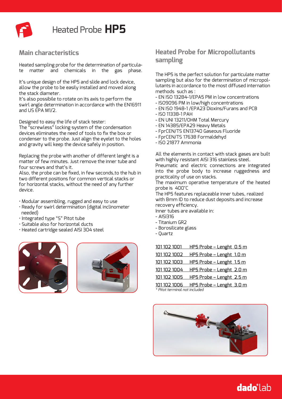

### **Main characteristics**

Heated sampling probe for the determination of particulate matter and chemicals in the gas phase.

It's unique design of the HP5 and slide and lock device, allow the probe to be easily installed and moved along the stack diameter.

It's also possibile to rotate on its axis to perform the swirl angle determination in accordance with the EN16911 and US EPA M1/2.

Designed to easy the life of stack tester:

The "screwless" locking system of the condensation devices eliminates the need of tools to fix the box or condenser to the probe. Just align the eyelet to the holes and gravity will keep the device safely in position.

Replacing the probe with another of different lenght is a matter of few minutes. Just remove the inner tube and four screws and that's it.

Also, the probe can be fixed, in few seconds,to the hub in two different positions for common vertical stacks or for horizontal stacks, without the need of any further device.

• Modular assembling, rugged and easy to use

- Ready for swirl determination (digital inclinometer needed)
- Integrated type "S" Pitot tube
- Suitable also for horizontal ducts
- Heated cartridge sealed AISI 304 steel





## **Heated Probe for Micropollutants sampling**

The HP5 is the perfect solution for particulate matter sampling but also for the determination of micropollutants in accordance to the most diffused internation methods such as :

- EN ISO 13284-1/EPA5 PM in low concentrations
- ISO9096 PM in low/high concentrations
- EN ISO 1948-1 /EPA23 Dioxins/Furans and PCB
- ISO 11338-1 PAH
- EN UNI 13211/OHM Total Mercury
- EN 14385/EPA29 Heavy Metals
- FprCEN/TS EN13740 Gaseous Fluoride
- FprCEN/TS 17638 Formaldehyd
- ISO 21877 Ammonia

All the elements in contact with stack gases are built with highly resistant AISI 316 stainless steel.

Pneumatic and electric connections are integrated into the probe body to increase ruggedness and practicality of use on stacks.

The maximum operative temperature of the heated probe is 400°C

The HP5 features replaceable inner tubes, realized with 8mm ID to reduce dust deposits and increase recovery efficiency.

Inner tubes are available in:

- $\triangle$ ISI316
- Titanium GR2
- Borosilicate glass
- Quartz

| 101 102 1001 | HP5 Probe - Lenght 0.5 m |
|--------------|--------------------------|
| 1011021002   | HP5 Probe - Lenght 1.0 m |
| 101 102 1003 | HP5 Probe - Lenght 1.5 m |
| 1011021004   | HP5 Probe - Lenght 2.0 m |
| 1011021005   | HP5 Probe - Lenght 2.5 m |
| 101 102 1006 | HP5 Probe - Lenght 3.0 m |

*\* Pitot terminal not included*

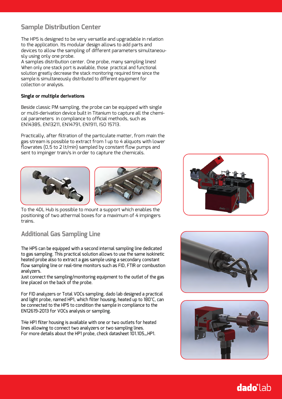## **Sample Distribution Center**

The HP5 is designed to be very versatile and upgradable in relation to the application. Its modular design allows to add parts and devices to allow the sampling of different parameters simultaneously using only one probe.

A samples distribution center. One probe, many sampling lines! When only one stack port is available, those practical and functional solution greatly decrease the stack monitoring required time since the sample is simultaneously distributed to different equipment for collection or analysis.

#### **Single or multiple derivations**

Beside classic PM sampling, the probe can be equipped with single or multi-derivation device built in Titanium to capture all the chemical parameters in compliance to official methods, such as EN14385, EN13211, EN14791, EN1911, ISO 15713.

Practically, after filtration of the particulate matter, from main the gas stream is possible to extract from 1 up to 4 aliquots with lower flowrates (0,5 to 2 lt/min) sampled by constant flow pumps and sent to impinger train/s in order to capture the chemicals.



To the 4DL Hub is possible to mount a support which enables the positioning of two athermal boxes for a maximum of 4 impingers trains.

# **Additional Gas Sampling Line**

The HP5 can be equipped with a second internal sampling line dedicated to gas sampling. This practical solution allows to use the same isokinetic heated probe also to extract a gas sample using a secondary constant flow sampling line or real-time monitors such as FID, FTIR or combustion analyzers.

Just connect the sampling/monitoring equipment to the outlet of the gas line placed on the back of the probe.

For FID analyzers or Total VOCs sampling, dado lab designed a practical and light probe, named HP1, which filter housing, heated up to 180°C, can be connected to the HP5 to condition the sample in compliance to the EN12619-2013 for VOCs analysis or sampling.

THe HP1 filter housing is available with one or two outlets for heated lines allowing to connect two analyzers or two sampling lines. For more details about the HP1 probe, check datasheet 101.105\_HP1.





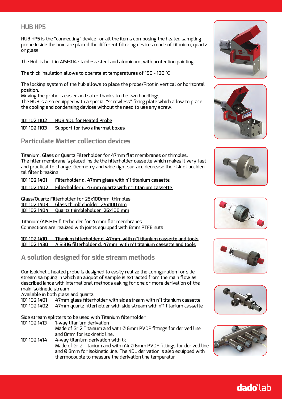### **HUB HP5**

HUB HP5 is the "connecting" device for all the items composing the heated sampling probe.Inside the box, are placed the different filtering devices made of titanium, quartz or glass.

The Hub is built in AISI304 stainless steel and aluminum, with protection painting.

The thick insulation allows to operate at temperatures of 150 - 180 °C

The locking system of the hub allows to place the probe/Pitot in vertical or horizontal position.

Moving the probe is easier and safer thanks to the two handlings.

The HUB is also equipped with a special "screwless" fixing plate which allow to place the cooling and condensing devices without the need to use any screw.

#### **101 102 1102 HUB 4DL for Heated Probe**

#### **101 102 1103 Support for two athermal boxes**

#### **Particulate Matter collection devices**

Titanium, Glass or Quartz Filterholder for 47mm flat membranes or thimbles. The filter membrane is placed inside the filterholder cassette which makes it very fast and practical to change. Geometry and wide tight surface decrease the risk of accidental filter breaking.

**101 102 1401 Filterholder d. 47mm glass with n°1 titanium cassette**

**101 102 1402 Filterholder d. 47mm quartz with n°1 titanium cassette** 

Glass/Quartz Filterholder for 25x100mm thimbles **101 102 1403 Glass thimbleholder 25x100 mm 101 102 1404 Quartz thimbleholder 25x100 mm**

Titanium/AISI316 filterholder for 47mm flat membranes. Connections are realized with joints equipped with 8mm PTFE nuts

**101 102 1410 Titanium filterholder d. 47mm with n°1 titanium cassette and tools 101 102 1430 AISI316 filterholder d. 47mm with n°1 titanium cassette and tools**

## **A solution designed for side stream methods**

Our isokinetic heated probe is designed to easily realize the configuration for side stream sampling in which an aliquot of sample is extracted from the main flow as described iance with international methods asking for one or more derivation of the main isokinetic stream

Available in both glass and quartz.

101 102 1401 47mm glass filterholder with side stream with n°1 titanium cassette 101 102 1402 47mm quartz filterholder with side stream with n°1 titanium cassette

Side stream splitters to be used with Titanium filterholder

101 102 1413 1-way titanium derivation

Made of Gr.2 Titanium and with Ø 6mm PVDF fittings for derived line and 8mm for isokinetic line.

101 102 1414 4-way titanium derivation with tk Made of Gr.2 Titanium and with n°4 Ø 6mm PVDF fittings for derived line and Ø 8mm for isokinetic line. The 4DL derivation is also equipped with thermocouple to measure the derivation line temperatur













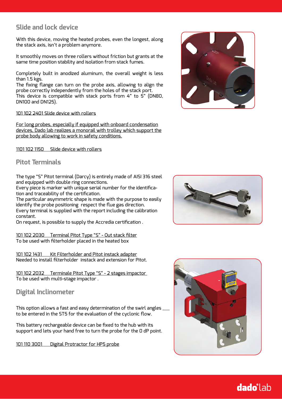## **Slide and lock device**

With this device, moving the heated probes, even the longest, along the stack axis, isn't a problem anymore.

It smoothly moves on three rollers without friction but grants at the same time position stability and isolation from stack fumes.

Completely built in anodized aluminum, the overall weight is less than 1.5 kgs.

The fixing flange can turn on the probe axis, allowing to align the probe correctly independently from the holes of the stack port. This device is compatible with stack ports from 4" to 5" (DN80, DN100 and DN125).

#### 101 102 2401 Slide device with rollers

For long probes, especially if equipped with onboard condensation devices, Dado lab realizes a monorail with trolley which support the probe body allowing to work in safety conditions.

1101 102 1150 Slide device with rollers

### **Pitot Terminals**

The type "S" Pitot terminal (Darcy) is entirely made of AISI 316 steel and equipped with double ring connections.

Every piece is marker with unique serial number for the identification and traceability of the certification.

The particular asymmetric shape is made with the purpose to easily identify the probe positioning respect the flue gas direction. Every terminal is supplied with the report including the calibration constant.

On request, is possible to supply the Accredia certification .

101 102 2030 Terminal Pitot Type "S" - Out stack filter To be used with filterholder placed in the heated box

101 102 1431 Kit Filterholder and Pitot instack adapter Needed to install filterholder instack and extension for Pitot.

101 102 2032 Terminale Pitot Type "S" - 2 stages impactor To be used with multi-stage impactor .

### **Digital Inclinometer**

This option allows a fast and easy determination of the swirl angles to be entered in the ST5 for the evaluation of the cyclonic flow.

This battery rechargeable device can be fixed to the hub with its support and lets your hand free to turn the probe for the 0 dP point.

101 110 3001 Digital Protractor for HP5 probe





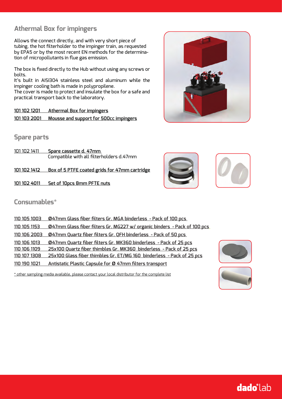## **Athermal Box for impingers**

Allows the connect directly, and with very short piece of tubing, the hot filterholder to the impinger train, as requested by EPA5 or by the most recent EN methods for the determination of micropollutants in flue gas emission.

The box is fixed directly to the Hub without using any screws or bolts.

It's built in AISI304 stainless steel and aluminum while the impinger cooling bath is made in polypropilene.

The cover is made to protect and insulate the box for a safe and practical transport back to the laboratory.

#### **101 102 1201 Athermal Box for impingers 101 103 2001 Mousse and support for 500cc impingers**

**Spare parts**

101 102 1411 **Spare cassette d. 47mm**  Compatible with all filterholders d.47mm

**101 102 1412 Box of 5 PTFE coated grids for 47mm cartridge**

**101 102 4011 Set of 10pcs 8mm PFTE nuts**







**Consumables\***

| 110 105 1153 | 047mm Glass fiber filters Gr. MG227 w/ organic binders - Pack of 100 pcs |
|--------------|--------------------------------------------------------------------------|
| 110 106 2003 | <u> Ø47mm Quartz fiber filters Gr. QFH binderless - Pack of 50 pcs</u>   |
| 110 106 1013 | 047mm Quartz fiber filters Gr. MK360 binderless - Pack of 25 pcs         |
| 110 106 1109 | 25x100 Quartz fiber thimbles Gr. MK360 binderless - Pack of 25 pcs       |
| 110 107 1308 | 25x100 Glass fiber thimbles Gr. ET/MG 160 binderless - Pack of 25 pcs    |
| 110 190 1021 | Antistatic Plastic Capsule for Ø 47mm filters transport                  |

\* other sampling media available, please contact your local distributor for the complete list



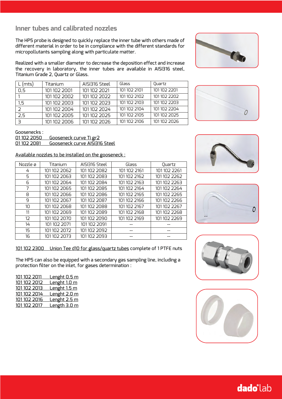### **Inner tubes and calibrated nozzles**

The HP5 probe is designed to quickly replace the inner tube with others made of different material in order to be in compliance with the different standards for micropollutants sampling along with particulate matter.

Realized with a smaller diameter to decrease the deposition effect and increase the recovery in laboratory, the inner tubes are available in AISI316 steel, Titanium Grade 2, Quartz or Glass.

| (mts)     | Titanium     | AISI316 Steel | Glass        | Ouartz       |
|-----------|--------------|---------------|--------------|--------------|
| 0,5       | 101 102 2001 | 101 102 2021  | 101 102 2101 | 1011022201   |
|           | 101 102 2002 | 101 102 2022  | 1011022102   | 1011022202   |
| 1,5       | 101 102 2003 | 101 102 2023  | 1011022103   | 101 102 2203 |
| 2         | 1011022004   | 101 102 2024  | 1011022104   | 1011022204   |
| 2,5       | 101 102 2005 | 101 102 2025  | 101 102 2105 | 101 102 2025 |
| $\exists$ | 101 102 2006 | 101 102 2026  | 101 102 2106 | 101 102 2026 |

Goosenecks :<br><u>01 102 2050</u> Gooseneck curve Ti gr2 01 102 2081 Gooseneck curve AISI316 Steel

Available nozzles to be installed on the gooseneck :

| Nozzle ø  | Titanium     | AISI316 Steel | Glass        | Ouartz       |
|-----------|--------------|---------------|--------------|--------------|
| 4         | 101 102 2062 | 101 102 2082  | 101 102 2161 | 1011022261   |
| 5         | 101 102 2063 | 101 102 2083  | 101 102 2162 | 1011022262   |
| 6         | 101 102 2064 | 101 102 2084  | 101 102 2163 | 101 102 2263 |
| 7         | 101 102 2065 | 101 102 2085  | 101 102 2164 | 1011022264   |
| 8         | 101 102 2066 | 101 102 2086  | 101 102 2165 | 101 102 2265 |
| 9         | 101 102 2067 | 101 102 2087  | 101 102 2166 | 101 102 2266 |
| $1\Omega$ | 101 102 2068 | 101 102 2088  | 101 102 2167 | 101 102 2267 |
| 11        | 101 102 2069 | 101 102 2089  | 101 102 2168 | 1011022268   |
| 12        | 101 102 2070 | 101 102 2090  | 101 102 2169 | 101 102 2269 |
| 14        | 101 102 2071 | 101 102 2091  |              |              |
| 15        | 1011022072   | 101 102 2092  |              |              |
| 16        | 101 102 2073 | 101 102 2093  |              |              |











#### 101 102 2300 Union Tee d10 for glass/quartz tubes complete of 1 PTFE nuts

The HP5 can also be equipped with a secondary gas sampling line, including a protection filter on the inlet, for gases determination :

| 101 102 2011 | <u>Lenght 0.5 m</u> |
|--------------|---------------------|
| 101 102 2012 | Lenght 1.0 m        |
| 101 102 2013 | Lenght 1.5 m        |
| 101 102 2014 | Lenght 2.0 m        |
| 101 102 2016 | Lenght 2.5 m        |
| 101 102 2017 | Length 3.0 m        |

# **dado** lab